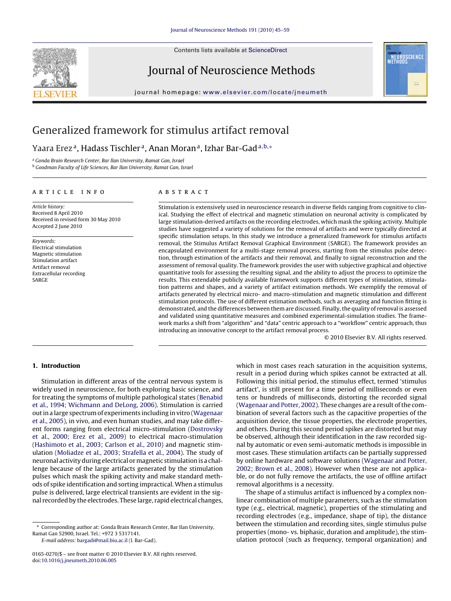Contents lists available at [ScienceDirect](http://www.sciencedirect.com/science/journal/01650270)

# Journal of Neuroscience Methods



journal homepage: [www.elsevier.com/locate/jneumeth](http://www.elsevier.com/locate/jneumeth)

# Generalized framework for stimulus artifact removal

Yaara Erez<sup>a</sup>, Hadass Tischler<sup>a</sup>, Anan Moran<sup>a</sup>, Izhar Bar-Gad<sup>a, b,</sup> ∗

<sup>a</sup> Gonda Brain Research Center, Bar Ilan University, Ramat Gan, Israel <sup>b</sup> Goodman Faculty of Life Sciences, Bar Ilan University, Ramat Gan, Israel

#### article info

Article history: Received 8 April 2010 Received in revised form 30 May 2010 Accepted 2 June 2010

Keywords: Electrical stimulation Magnetic stimulation Stimulation artifact Artifact removal Extracellular recording SARGE

# ABSTRACT

Stimulation is extensively used in neuroscience research in diverse fields ranging from cognitive to clinical. Studying the effect of electrical and magnetic stimulation on neuronal activity is complicated by large stimulation-derived artifacts on the recording electrodes, which mask the spiking activity. Multiple studies have suggested a variety of solutions for the removal of artifacts and were typically directed at specific stimulation setups. In this study we introduce a generalized framework for stimulus artifacts removal, the Stimulus Artifact Removal Graphical Environment (SARGE). The framework provides an encapsulated environment for a multi-stage removal process, starting from the stimulus pulse detection, through estimation of the artifacts and their removal, and finally to signal reconstruction and the assessment of removal quality. The framework provides the user with subjective graphical and objective quantitative tools for assessing the resulting signal, and the ability to adjust the process to optimize the results. This extendable publicly available framework supports different types of stimulation, stimulation patterns and shapes, and a variety of artifact estimation methods. We exemplify the removal of artifacts generated by electrical micro- and macro-stimulation and magnetic stimulation and different stimulation protocols. The use of different estimation methods, such as averaging and function fitting is demonstrated, and the differences between them are discussed. Finally, the quality of removal is assessed and validated using quantitative measures and combined experimental-simulation studies. The framework marks a shift from "algorithm" and "data" centric approach to a "workflow" centric approach, thus introducing an innovative concept to the artifact removal process.

© 2010 Elsevier B.V. All rights reserved.

# **1. Introduction**

Stimulation in different areas of the central nervous system is widely used in neuroscience, for both exploring basic science, and for treating the symptoms of multiple pathological states [\(Benabid](#page-13-0) [et al., 1994; Wichmann and DeLong, 2006\).](#page-13-0) Stimulation is carried out in a large spectrum of experiments including in vitro [\(Wagenaar](#page-14-0) [et al., 2005\),](#page-14-0) in vivo, and even human studies, and may take different forms ranging from electrical micro-stimulation [\(Dostrovsky](#page-13-0) [et al., 2000; Erez et al., 2009\)](#page-13-0) to electrical macro-stimulation ([Hashimoto et al., 2003; Carlson et al., 2010\)](#page-13-0) and magnetic stimulation ([Moliadze et al., 2003; Strafella et al., 2004\).](#page-14-0) The study of neuronal activity during electrical ormagnetic stimulation is a challenge because of the large artifacts generated by the stimulation pulses which mask the spiking activity and make standard methods of spike identification and sorting impractical.When a stimulus pulse is delivered, large electrical transients are evident in the signal recorded by the electrodes. These large, rapid electrical changes,

∗ Corresponding author at: Gonda Brain Research Center, Bar Ilan University, Ramat Gan 52900, Israel. Tel.: +972 3 5317141.

E-mail address: [bargadi@mail.biu.ac.il](mailto:bargadi@mail.biu.ac.il) (I. Bar-Gad).

which in most cases reach saturation in the acquisition systems, result in a period during which spikes cannot be extracted at all. Following this initial period, the stimulus effect, termed 'stimulus artifact', is still present for a time period of milliseconds or even tens or hundreds of milliseconds, distorting the recorded signal [\(Wagenaar and Potter, 2002\).](#page-14-0) These changes are a result of the combination of several factors such as the capacitive properties of the acquisition device, the tissue properties, the electrode properties, and others. During this second period spikes are distorted but may be observed, although their identification in the raw recorded signal by automatic or even semi-automatic methods is impossible in most cases. These stimulation artifacts can be partially suppressed by online hardware and software solutions [\(Wagenaar and Potter,](#page-14-0) [2002; Brown et al., 2008\).](#page-14-0) However when these are not applicable, or do not fully remove the artifacts, the use of offline artifact removal algorithms is a necessity.

The shape of a stimulus artifact is influenced by a complex nonlinear combination of multiple parameters, such as the stimulation type (e.g., electrical, magnetic), properties of the stimulating and recording electrodes (e.g., impedance, shape of tip), the distance between the stimulation and recording sites, single stimulus pulse properties (mono- vs. biphasic, duration and amplitude), the stimulation protocol (such as frequency, temporal organization) and

<sup>0165-0270/\$ –</sup> see front matter © 2010 Elsevier B.V. All rights reserved. doi:[10.1016/j.jneumeth.2010.06.005](dx.doi.org/10.1016/j.jneumeth.2010.06.005)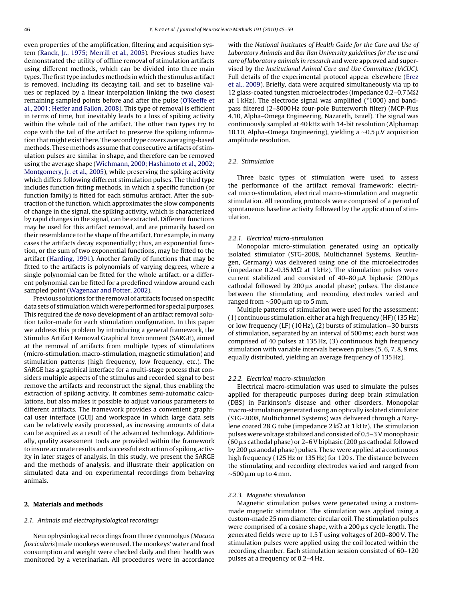even properties of the amplification, filtering and acquisition system [\(Ranck, Jr., 1975; Merrill et al., 2005\).](#page-14-0) Previous studies have demonstrated the utility of offline removal of stimulation artifacts using different methods, which can be divided into three main types. The first type includes methods in which the stimulus artifact is removed, including its decaying tail, and set to baseline values or replaced by a linear interpolation linking the two closest remaining sampled points before and after the pulse [\(O'Keeffe et](#page-14-0) [al., 2001; Heffer and Fallon, 2008\).](#page-14-0) This type of removal is efficient in terms of time, but inevitably leads to a loss of spiking activity within the whole tail of the artifact. The other two types try to cope with the tail of the artifact to preserve the spiking information that might exist there. The second type covers averaging-based methods. These methods assume that consecutive artifacts of stimulation pulses are similar in shape, and therefore can be removed using the average shape ([Wichmann, 2000; Hashimoto et al., 2002;](#page-14-0) [Montgomery, Jr. et al., 2005\),](#page-14-0) while preserving the spiking activity which differs following different stimulation pulses. The third type includes function fitting methods, in which a specific function (or function family) is fitted for each stimulus artifact. After the subtraction of the function, which approximates the slow components of change in the signal, the spiking activity, which is characterized by rapid changes in the signal, can be extracted. Different functions may be used for this artifact removal, and are primarily based on their resemblance to the shape of the artifact. For example, in many cases the artifacts decay exponentially; thus, an exponential function, or the sum of two exponential functions, may be fitted to the artifact [\(Harding, 1991\).](#page-13-0) Another family of functions that may be fitted to the artifacts is polynomials of varying degrees, where a single polynomial can be fitted for the whole artifact, or a different polynomial can be fitted for a predefined window around each sampled point ([Wagenaar and Potter, 2002\).](#page-14-0)

Previous solutions for the removal of artifacts focused on specific data sets of stimulation which were performed for special purposes. This required the de novo development of an artifact removal solution tailor-made for each stimulation configuration. In this paper we address this problem by introducing a general framework, the Stimulus Artifact Removal Graphical Environment (SARGE), aimed at the removal of artifacts from multiple types of stimulations (micro-stimulation, macro-stimulation, magnetic stimulation) and stimulation patterns (high frequency, low frequency, etc.). The SARGE has a graphical interface for a multi-stage process that considers multiple aspects of the stimulus and recorded signal to best remove the artifacts and reconstruct the signal, thus enabling the extraction of spiking activity. It combines semi-automatic calculations, but also makes it possible to adjust various parameters to different artifacts. The framework provides a convenient graphical user interface (GUI) and workspace in which large data sets can be relatively easily processed, as increasing amounts of data can be acquired as a result of the advanced technology. Additionally, quality assessment tools are provided within the framework to insure accurate results and successful extraction of spiking activity in later stages of analysis. In this study, we present the SARGE and the methods of analysis, and illustrate their application on simulated data and on experimental recordings from behaving animals.

#### **2. Materials and methods**

#### 2.1. Animals and electrophysiological recordings

Neurophysiological recordings from three cynomolgus (Macaca fascicularis) male monkeys were used. The monkeys' water and food consumption and weight were checked daily and their health was monitored by a veterinarian. All procedures were in accordance with the National Institutes of Health Guide for the Care and Use of Laboratory Animals and Bar Ilan University guidelines for the use and care of laboratory animals in research and were approved and supervised by the Institutional Animal Care and Use Committee (IACUC). Full details of the experimental protocol appear elsewhere [\(Erez](#page-13-0) [et al., 2009\).](#page-13-0) Briefly, data were acquired simultaneously via up to 12 glass-coated tungsten microelectrodes (impedance 0.2–0.7 M $\Omega$ at 1 kHz). The electrode signal was amplified (\*1000) and bandpass filtered (2–8000 Hz four-pole Butterworth filter) (MCP-Plus 4.10, Alpha–Omega Engineering, Nazareth, Israel). The signal was continuously sampled at 40 kHz with 14-bit resolution (Alphamap 10.10, Alpha–Omega Engineering), yielding a  $\sim$ 0.5 μV acquisition amplitude resolution.

#### 2.2. Stimulation

Three basic types of stimulation were used to assess the performance of the artifact removal framework: electrical micro-stimulation, electrical macro-stimulation and magnetic stimulation. All recording protocols were comprised of a period of spontaneous baseline activity followed by the application of stimulation.

#### 2.2.1. Electrical micro-stimulation

Monopolar micro-stimulation generated using an optically isolated stimulator (STG-2008, Multichannel Systems, Reutlingen, Germany) was delivered using one of the microelectrodes (impedance 0.2–0.35 M $\Omega$  at 1 kHz). The stimulation pulses were current stabilized and consisted of  $40-80 \,\mu$ A biphasic (200 $\,\mu$ s cathodal followed by 200  $\mu$ s anodal phase) pulses. The distance between the stimulating and recording electrodes varied and ranged from  $\sim$ 500 µm up to 5 mm.

Multiple patterns of stimulation were used for the assessment: (1) continuous stimulation, either at a high frequency (HF) (135 Hz) or low frequency (LF) (10 Hz), (2) bursts of stimulation—30 bursts of stimulation, separated by an interval of 500 ms; each burst was comprised of 40 pulses at 135 Hz, (3) continuous high frequency stimulation with variable intervals between pulses (5, 6, 7, 8, 9 ms, equally distributed, yielding an average frequency of 135 Hz).

#### 2.2.2. Electrical macro-stimulation

Electrical macro-stimulation was used to simulate the pulses applied for therapeutic purposes during deep brain stimulation (DBS) in Parkinson's disease and other disorders. Monopolar macro-stimulation generated using an optically isolated stimulator (STG-2008, Multichannel Systems) was delivered through a Narylene coated 28 G tube (impedance 2 k $\Omega$  at 1 kHz). The stimulation pulses were voltage stabilized and consisted of 0.5–3 V monophasic (60 µs cathodal phase) or 2–6 V biphasic (200 µs cathodal followed by 200  $\mu$ s anodal phase) pulses. These were applied at a continuous high frequency (125 Hz or 135 Hz) for 120 s. The distance between the stimulating and recording electrodes varied and ranged from  $\sim$ 500 µm up to 4 mm.

#### 2.2.3. Magnetic stimulation

Magnetic stimulation pulses were generated using a custommade magnetic stimulator. The stimulation was applied using a custom-made 25 mm diameter circular coil. The stimulation pulses were comprised of a cosine shape, with a 200  $\mu$ s cycle length. The generated fields were up to 1.5 T using voltages of 200–800 V. The stimulation pulses were applied using the coil located within the recording chamber. Each stimulation session consisted of 60–120 pulses at a frequency of 0.2–4 Hz.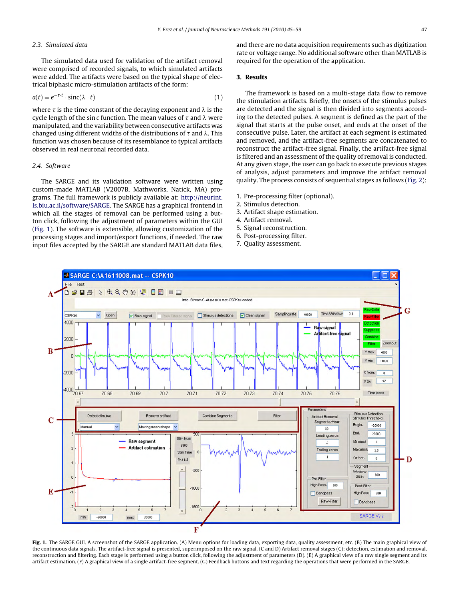# 2.3. Simulated data

The simulated data used for validation of the artifact removal were comprised of recorded signals, to which simulated artifacts were added. The artifacts were based on the typical shape of electrical biphasic micro-stimulation artifacts of the form:

$$
a(t) = e^{-\tau \cdot t} \cdot \text{sinc}(\lambda \cdot t) \tag{1}
$$

where  $\tau$  is the time constant of the decaying exponent and  $\lambda$  is the cycle length of the sin c function. The mean values of  $\tau$  and  $\lambda$  were manipulated, and the variability between consecutive artifacts was changed using different widths of the distributions of  $\tau$  and  $\lambda$ . This function was chosen because of its resemblance to typical artifacts observed in real neuronal recorded data.

# 2.4. Software

The SARGE and its validation software were written using custom-made MATLAB (V2007B, Mathworks, Natick, MA) programs. The full framework is publicly available at: [http://neurint.](http://neurint.ls.biu.ac.il/software/SARGE) [ls.biu.ac.il/software/SARGE.](http://neurint.ls.biu.ac.il/software/SARGE) The SARGE has a graphical frontend in which all the stages of removal can be performed using a button click, following the adjustment of parameters within the GUI (Fig. 1). The software is extensible, allowing customization of the processing stages and import/export functions, if needed. The raw input files accepted by the SARGE are standard MATLAB data files,

and there are no data acquisition requirements such as digitization rate or voltage range. No additional software other than MATLAB is required for the operation of the application.

# **3. Results**

The framework is based on a multi-stage data flow to remove the stimulation artifacts. Briefly, the onsets of the stimulus pulses are detected and the signal is then divided into segments according to the detected pulses. A segment is defined as the part of the signal that starts at the pulse onset, and ends at the onset of the consecutive pulse. Later, the artifact at each segment is estimated and removed, and the artifact-free segments are concatenated to reconstruct the artifact-free signal. Finally, the artifact-free signal is filtered and an assessment of the quality of removal is conducted. At any given stage, the user can go back to execute previous stages of analysis, adjust parameters and improve the artifact removal quality. The process consists of sequential stages as follows [\(Fig. 2\):](#page-3-0)

- 1. Pre-processing filter (optional).
- 2. Stimulus detection.
- 3. Artifact shape estimation.
- 4. Artifact removal.
- 5. Signal reconstruction.
- 6. Post-processing filter.
- 7. Quality assessment.



Fig. 1. The SARGE GUI. A screenshot of the SARGE application. (A) Menu options for loading data, exporting data, quality assessment, etc. (B) The main graphical view of the continuous data signals. The artifact-free signal is presented, superimposed on the raw signal. (C and D) Artifact removal stages (C): detection, estimation and removal, reconstruction and filtering. Each stage is performed using a button click, following the adjustment of parameters (D). (E) A graphical view of a raw single segment and its artifact estimation. (F) A graphical view of a single artifact-free segment. (G) Feedback buttons and text regarding the operations that were performed in the SARGE.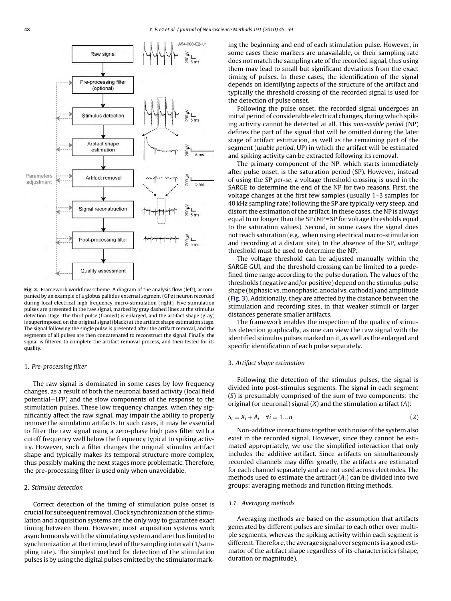<span id="page-3-0"></span>

**Fig. 2.** Framework workflow scheme. A diagram of the analysis flow (left), accompanied by an example of a globus pallidus external segment (GPe) neuron recorded during local electrical high frequency micro-stimulation (right). Five stimulation pulses are presented in the raw signal, marked by gray dashed lines at the stimulus detection stage. The third pulse (framed) is enlarged, and the artifact shape (gray) is superimposed on the original signal (black) at the artifact shape estimation stage. The signal following the single pulse is presented after the artifact removal, and the segments of all pulses are then concatenated to reconstruct the signal. Finally, the signal is filtered to complete the artifact removal process, and then tested for its quality.

# 1. Pre-processing filter

The raw signal is dominated in some cases by low frequency changes, as a result of both the neuronal based activity (local field potential—LFP) and the slow components of the response to the stimulation pulses. These low frequency changes, when they significantly affect the raw signal, may impair the ability to properly remove the simulation artifacts. In such cases, it may be essential to filter the raw signal using a zero-phase high pass filter with a cutoff frequency well below the frequency typical to spiking activity. However, such a filter changes the original stimulus artifact shape and typically makes its temporal structure more complex, thus possibly making the next stages more problematic. Therefore, the pre-processing filter is used only when unavoidable.

# 2. Stimulus detection

Correct detection of the timing of stimulation pulse onset is crucial for subsequent removal. Clock synchronization of the stimulation and acquisition systems are the only way to guarantee exact timing between them. However, most acquisition systems work asynchronously with the stimulating system and are thus limited to synchronization at the timing level of the sampling interval (1/sampling rate). The simplest method for detection of the stimulation pulses is by using the digital pulses emitted by the stimulator marking the beginning and end of each stimulation pulse. However, in some cases these markers are unavailable, or their sampling rate does not match the sampling rate of the recorded signal, thus using them may lead to small but significant deviations from the exact timing of pulses. In these cases, the identification of the signal depends on identifying aspects of the structure of the artifact and typically the threshold crossing of the recorded signal is used for the detection of pulse onset.

Following the pulse onset, the recorded signal undergoes an initial period of considerable electrical changes, during which spiking activity cannot be detected at all. This non-usable period (NP) defines the part of the signal that will be omitted during the later stage of artifact estimation, as well as the remaining part of the segment (usable period, UP) in which the artifact will be estimated and spiking activity can be extracted following its removal.

The primary component of the NP, which starts immediately after pulse onset, is the saturation period (SP). However, instead of using the SP per-se, a voltage threshold crossing is used in the SARGE to determine the end of the NP for two reasons. First, the voltage changes at the first few samples (usually 1–3 samples for 40 kHz sampling rate) following the SP are typically very steep, and distort the estimation of the artifact. In these cases, the NP is always equal to or longer than the SP (NP = SP for voltage thresholds equal to the saturation values). Second, in some cases the signal does not reach saturation (e.g., when using electrical macro-stimulation and recording at a distant site). In the absence of the SP, voltage threshold must be used to determine the NP.

The voltage threshold can be adjusted manually within the SARGE GUI, and the threshold crossing can be limited to a predefined time range according to the pulse duration. The values of the thresholds (negative and/or positive) depend on the stimulus pulse shape (biphasic vs. monophasic, anodal vs. cathodal) and amplitude [\(Fig. 3\).](#page-4-0) Additionally, they are affected by the distance between the stimulation and recording sites, in that weaker stimuli or larger distances generate smaller artifacts.

The framework enables the inspection of the quality of stimulus detection graphically, as one can view the raw signal with the identified stimulus pulses marked on it, as well as the enlarged and specific identification of each pulse separately.

# 3. Artifact shape estimation

Following the detection of the stimulus pulses, the signal is divided into post-stimulus segments. The signal in each segment (S) is presumably comprised of the sum of two components: the original (or neuronal) signal  $(X)$  and the stimulation artifact  $(A)$ :

$$
S_i = X_i + A_i \quad \forall i = 1...n \tag{2}
$$

Non-additive interactions together with noise of the system also exist in the recorded signal. However, since they cannot be estimated appropriately, we use the simplified interaction that only includes the additive artifact. Since artifacts on simultaneously recorded channels may differ greatly, the artifacts are estimated for each channel separately and are not used across electrodes. The methods used to estimate the artifact  $(A_i)$  can be divided into two groups: averaging methods and function fitting methods.

#### 3.1. Averaging methods

Averaging methods are based on the assumption that artifacts generated by different pulses are similar to each other over multiple segments, whereas the spiking activity within each segment is different. Therefore, the average signal over segments is a good estimator of the artifact shape regardless of its characteristics (shape, duration or magnitude).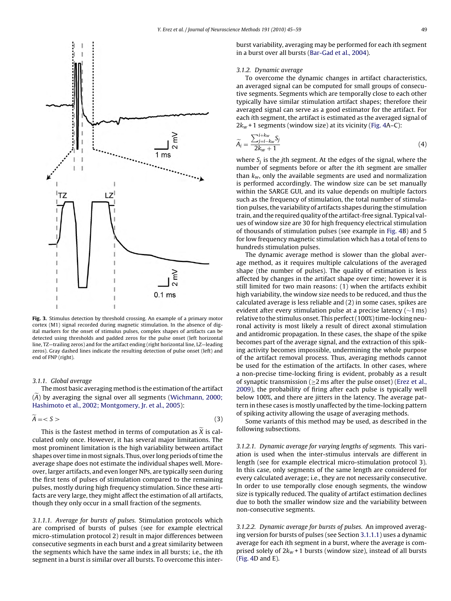<span id="page-4-0"></span>

**Fig. 3.** Stimulus detection by threshold crossing. An example of a primary motor cortex (M1) signal recorded during magnetic stimulation. In the absence of digital markers for the onset of stimulus pulses, complex shapes of artifacts can be detected using thresholds and padded zeros for the pulse onset (left horizontal line, TZ—trailing zeros) and for the artifact ending (right horizontal line, LZ—leading zeros). Gray dashed lines indicate the resulting detection of pulse onset (left) and end of FNP (right).

#### 3.1.1. Global average

The most basic averaging method is the estimation of the artifact (A) by averaging the signal over all segments [\(Wichmann, 2000;](#page-14-0)<br>Hashimate the 2003: Mentremany Instal 2005): [Hashimoto et al., 2002; Montgomery, Jr. et al., 2005\):](#page-14-0)

$$
\tilde{A} = S \tag{3}
$$

This is the fastest method in terms of computation as X is cal-<br>stad ante suce Maureuse it has account maise limitations. The culated only once. However, it has several major limitations. The most prominent limitation is the high variability between artifact shapes over time in most signals. Thus, over long periods of time the average shape does not estimate the individual shapes well. Moreover, larger artifacts, and even longer NPs, are typically seen during the first tens of pulses of stimulation compared to the remaining pulses, mostly during high frequency stimulation. Since these artifacts are very large, they might affect the estimation of all artifacts, though they only occur in a small fraction of the segments.

3.1.1.1. Average for bursts of pulses. Stimulation protocols which are comprised of bursts of pulses (see for example electrical micro-stimulation protocol 2) result in major differences between consecutive segments in each burst and a great similarity between the segments which have the same index in all bursts; i.e., the ith segment in a burst is similar over all bursts. To overcome this interburst variability, averaging may be performed for each ith segment in a burst over all bursts [\(Bar-Gad et al., 2004\).](#page-13-0)

#### 3.1.2. Dynamic average

To overcome the dynamic changes in artifact characteristics, an averaged signal can be computed for small groups of consecutive segments. Segments which are temporally close to each other typically have similar stimulation artifact shapes; therefore their averaged signal can serve as a good estimator for the artifact. For each ith segment, the artifact is estimated as the averaged signal of  $2k_w + 1$  segments (window size) at its vicinity [\(Fig. 4A](#page-5-0)–C):

$$
\widetilde{A}_i = \frac{\sum_{j=i-k_w}^{i+k_w} S_j}{2k_w + 1} \tag{4}
$$

where  $S_i$  is the *j*th segment. At the edges of the signal, where the number of segments before or after the ith segment are smaller than  $k_w$ , only the available segments are used and normalization is performed accordingly. The window size can be set manually within the SARGE GUI, and its value depends on multiple factors such as the frequency of stimulation, the total number of stimulation pulses, the variability of artifacts shapes during the stimulation train, and the required quality of the artifact-free signal. Typical values of window size are 30 for high frequency electrical stimulation of thousands of stimulation pulses (see example in [Fig. 4B](#page-5-0)) and 5 for low frequency magnetic stimulation which has a total of tens to hundreds stimulation pulses.

The dynamic average method is slower than the global average method, as it requires multiple calculations of the averaged shape (the number of pulses). The quality of estimation is less affected by changes in the artifact shape over time; however it is still limited for two main reasons: (1) when the artifacts exhibit high variability, the window size needs to be reduced, and thus the calculated average is less reliable and (2) in some cases, spikes are evident after every stimulation pulse at a precise latency (∼1 ms) relative to the stimulus onset. This perfect (100%) time-locking neuronal activity is most likely a result of direct axonal stimulation and antidromic propagation. In these cases, the shape of the spike becomes part of the average signal, and the extraction of this spiking activity becomes impossible, undermining the whole purpose of the artifact removal process. Thus, averaging methods cannot be used for the estimation of the artifacts. In other cases, where a non-precise time-locking firing is evident, probably as a result of synaptic transmission ( $\geq$ 2 ms after the pulse onset) [\(Erez et al.,](#page-13-0) [2009\),](#page-13-0) the probability of firing after each pulse is typically well below 100%, and there are jitters in the latency. The average pattern in these cases is mostly unaffected by the time-locking pattern of spiking activity allowing the usage of averaging methods.

Some variants of this method may be used, as described in the following subsections.

3.1.2.1. Dynamic average for varying lengths of segments. This variation is used when the inter-stimulus intervals are different in length (see for example electrical micro-stimulation protocol 3). In this case, only segments of the same length are considered for every calculated average; i.e., they are not necessarily consecutive. In order to use temporally close enough segments, the window size is typically reduced. The quality of artifact estimation declines due to both the smaller window size and the variability between non-consecutive segments.

3.1.2.2. Dynamic average for bursts of pulses. An improved averaging version for bursts of pulses (see Section 3.1.1.1) uses a dynamic average for each ith segment in a burst, where the average is comprised solely of  $2k_w + 1$  bursts (window size), instead of all bursts [\(Fig. 4D](#page-5-0) and E).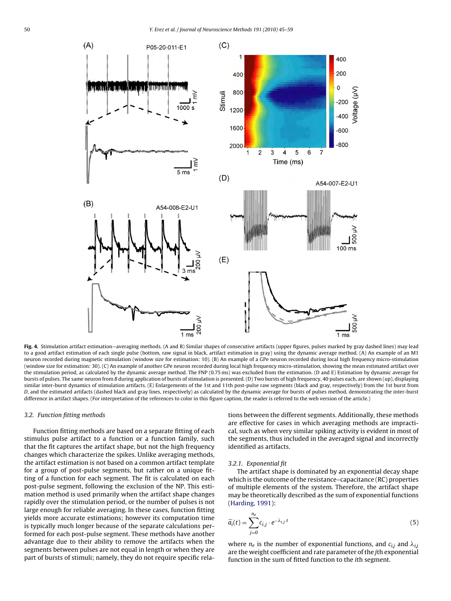<span id="page-5-0"></span>

**Fig. 4.** Stimulation artifact estimation—averaging methods. (A and B) Similar shapes of consecutive artifacts (upper figures, pulses marked by gray dashed lines) may lead to a good artifact estimation of each single pulse (bottom, raw signal in black, artifact estimation in gray) using the dynamic average method. (A) An example of an M1 neuron recorded during magnetic stimulation (window size for estimation: 10). (B) An example of a GPe neuron recorded during local high frequency micro-stimulation (window size for estimation: 30). (C) An example of another GPe neuron recorded during local high frequency micro-stimulation, showing the mean estimated artifact over the stimulation period, as calculated by the dynamic average method. The FNP (0.75 ms) was excluded from the estimation. (D and E) Estimation by dynamic average for bursts of pulses. The same neuron from B during application of bursts of stimulation is presented. (D) Two bursts of high frequency, 40 pulses each, are shown (up), displaying similar inter-burst dynamics of stimulation artifacts. (E) Enlargements of the 1st and 11th post-pulse raw segments (black and gray, respectively) from the 1st burst from D, and the estimated artifacts (dashed black and gray lines, respectively) as calculated by the dynamic average for bursts of pulses method, demonstrating the inter-burst difference in artifact shapes. (For interpretation of the references to color in this figure caption, the reader is referred to the web version of the article.)

#### 3.2. Function fitting methods

Function fitting methods are based on a separate fitting of each stimulus pulse artifact to a function or a function family, such that the fit captures the artifact shape, but not the high frequency changes which characterize the spikes. Unlike averaging methods, the artifact estimation is not based on a common artifact template for a group of post-pulse segments, but rather on a unique fitting of a function for each segment. The fit is calculated on each post-pulse segment, following the exclusion of the NP. This estimation method is used primarily when the artifact shape changes rapidly over the stimulation period, or the number of pulses is not large enough for reliable averaging. In these cases, function fitting yields more accurate estimations; however its computation time is typically much longer because of the separate calculations performed for each post-pulse segment. These methods have another advantage due to their ability to remove the artifacts when the segments between pulses are not equal in length or when they are part of bursts of stimuli; namely, they do not require specific relations between the different segments. Additionally, these methods are effective for cases in which averaging methods are impractical, such as when very similar spiking activity is evident in most of the segments, thus included in the averaged signal and incorrectly identified as artifacts.

#### 3.2.1. Exponential fit

The artifact shape is dominated by an exponential decay shape which is the outcome of the resistance–capacitance (RC) properties of multiple elements of the system. Therefore, the artifact shape may be theoretically described as the sum of exponential functions [\(Harding, 1991\):](#page-13-0)

$$
\widetilde{a_i}(t) = \sum_{j=0}^{n_e} c_{i,j} \cdot e^{-\lambda_{i,j} \cdot t} \tag{5}
$$

where  $n_e$  is the number of exponential functions, and  $c_{i,j}$  and  $\lambda_{i,j}$ are the weight coefficient and rate parameter of the *j*th exponential function in the sum of fitted function to the ith segment.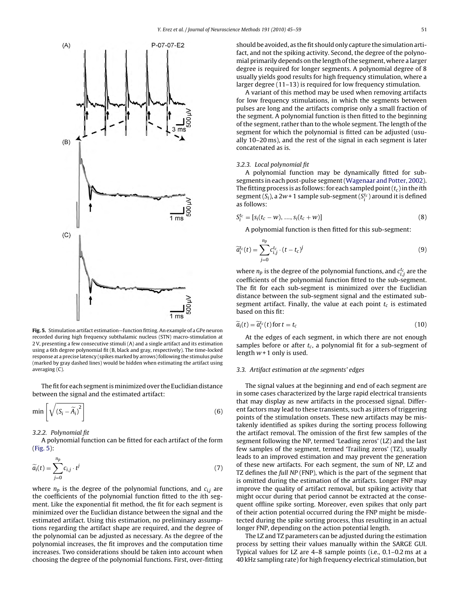

**Fig. 5.** Stimulation artifact estimation—function fitting. An example of a GPe neuron recorded during high frequency subthalamic nucleus (STN) macro-stimulation at 2 V, presenting a few consecutive stimuli (A) and a single artifact and its estimation using a 6th degree polynomial fit (B, black and gray, respectively). The time-locked response at a precise latency (spikes marked by arrows) following the stimulus pulse (marked by gray dashed lines) would be hidden when estimating the artifact using averaging (C).

The fit for each segment is minimized over the Euclidian distance between the signal and the estimated artifact:

$$
\min\left[\sqrt{\left(S_i - \widetilde{A}_i\right)^2}\right]
$$
\n(6)

3.2.2. Polynomial fit

A polynomial function can be fitted for each artifact of the form (Fig. 5):

$$
\widetilde{a_i}(t) = \sum_{j=0}^{n_p} c_{i,j} \cdot t^j \tag{7}
$$

where  $n_p$  is the degree of the polynomial functions, and  $c_{i,j}$  are the coefficients of the polynomial function fitted to the ith segment. Like the exponential fit method, the fit for each segment is minimized over the Euclidian distance between the signal and the estimated artifact. Using this estimation, no preliminary assumptions regarding the artifact shape are required, and the degree of the polynomial can be adjusted as necessary. As the degree of the polynomial increases, the fit improves and the computation time increases. Two considerations should be taken into account when choosing the degree of the polynomial functions. First, over-fitting

A variant of this method may be used when removing artifacts for low frequency stimulations, in which the segments between pulses are long and the artifacts comprise only a small fraction of the segment. A polynomial function is then fitted to the beginning of the segment, rather than to the whole segment. The length of the segment for which the polynomial is fitted can be adjusted (usually 10–20 ms), and the rest of the signal in each segment is later concatenated as is.

#### 3.2.3. Local polynomial fit

A polynomial function may be dynamically fitted for subsegments in each post-pulse segment [\(Wagenaar and Potter, 2002\).](#page-14-0) The fitting process is as follows: for each sampled point  $(t_c)$  in the *i*th segment (S<sub>i</sub>), a 2w + 1 sample sub-segment ( $S_i^{t_c}$ ) around it is defined as follows:

$$
S_i^{t_c} = [s_i(t_c - w), ..., s_i(t_c + w)]
$$
\n(8)

A polynomial function is then fitted for this sub-segment:

$$
\widetilde{a}_i^{t_c}(t) = \sum_{j=0}^{n_p} c_{i,j}^{t_c} \cdot (t - t_c)^j
$$
\n(9)

where  $n_p$  is the degree of the polynomial functions, and  $c_{i,j}^{tc}$  are the coefficients of the polynomial function fitted to the sub-segment. The fit for each sub-segment is minimized over the Euclidian distance between the sub-segment signal and the estimated subsegment artifact. Finally, the value at each point  $t_c$  is estimated based on this fit:

$$
\widetilde{a}_i(t) = \widetilde{a}_i^t(t) \text{ for } t = t_c \tag{10}
$$

At the edges of each segment, in which there are not enough samples before or after  $t_c$ , a polynomial fit for a sub-segment of length  $w + 1$  only is used.

#### 3.3. Artifact estimation at the segments' edges

The signal values at the beginning and end of each segment are in some cases characterized by the large rapid electrical transients that may display as new artifacts in the processed signal. Different factors may lead to these transients, such as jitters of triggering points of the stimulation onsets. These new artifacts may be mistakenly identified as spikes during the sorting process following the artifact removal. The omission of the first few samples of the segment following the NP, termed 'Leading zeros' (LZ) and the last few samples of the segment, termed 'Trailing zeros' (TZ), usually leads to an improved estimation and may prevent the generation of these new artifacts. For each segment, the sum of NP, LZ and TZ defines the full NP (FNP), which is the part of the segment that is omitted during the estimation of the artifacts. Longer FNP may improve the quality of artifact removal, but spiking activity that might occur during that period cannot be extracted at the consequent offline spike sorting. Moreover, even spikes that only part of their action potential occurred during the FNP might be misdetected during the spike sorting process, thus resulting in an actual longer FNP, depending on the action potential length.

The LZ and TZ parameters can be adjusted during the estimation process by setting their values manually within the SARGE GUI. Typical values for LZ are 4–8 sample points (i.e., 0.1–0.2 ms at a 40 kHz sampling rate) for high frequency electrical stimulation, but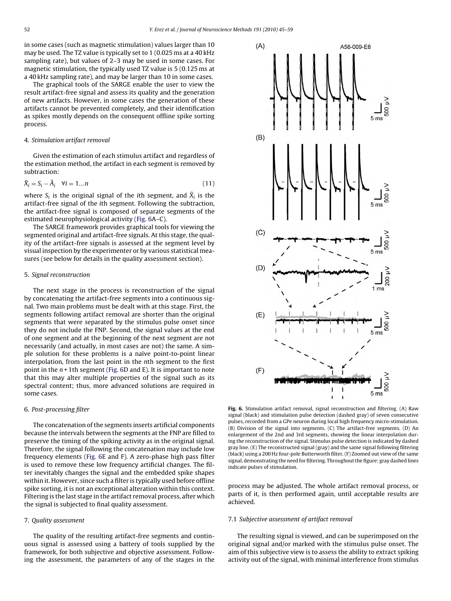in some cases (such as magnetic stimulation) values larger than 10 may be used. The TZ value is typically set to 1 (0.025 ms at a 40 kHz sampling rate), but values of 2–3 may be used in some cases. For magnetic stimulation, the typically used TZ value is 5 (0.125 ms at a 40 kHz sampling rate), and may be larger than 10 in some cases.

The graphical tools of the SARGE enable the user to view the result artifact-free signal and assess its quality and the generation of new artifacts. However, in some cases the generation of these artifacts cannot be prevented completely, and their identification as spikes mostly depends on the consequent offline spike sorting process.

# 4. Stimulation artifact removal

Given the estimation of each stimulus artifact and regardless of the estimation method, the artifact in each segment is removed by subtraction:

$$
\tilde{X}_i = S_i - \tilde{A}_i \quad \forall i = 1...n
$$
\n(11)

where  $S_i$  is the original signal of the *i*th segment, and  $\tilde{X}_i$  is the artifact-free signal of the ith segment. Following the subtraction, the artifact-free signal is composed of separate segments of the estimated neurophysiological activity (Fig. 6A–C).

The SARGE framework provides graphical tools for viewing the segmented original and artifact-free signals. At this stage, the quality of the artifact-free signals is assessed at the segment level by visual inspection by the experimenter or by various statistical measures (see below for details in the quality assessment section).

#### 5. Signal reconstruction

The next stage in the process is reconstruction of the signal by concatenating the artifact-free segments into a continuous signal. Two main problems must be dealt with at this stage. First, the segments following artifact removal are shorter than the original segments that were separated by the stimulus pulse onset since they do not include the FNP. Second, the signal values at the end of one segment and at the beginning of the next segment are not necessarily (and actually, in most cases are not) the same. A simple solution for these problems is a naïve point-to-point linear interpolation, from the last point in the nth segment to the first point in the  $n+1$ th segment (Fig. 6D and E). It is important to note that this may alter multiple properties of the signal such as its spectral content; thus, more advanced solutions are required in some cases.

#### 6. Post-processing filter

The concatenation of the segments inserts artificial components because the intervals between the segments at the FNP are filled to preserve the timing of the spiking activity as in the original signal. Therefore, the signal following the concatenation may include low frequency elements (Fig. 6E and F). A zero-phase high pass filter is used to remove these low frequency artificial changes. The filter inevitably changes the signal and the embedded spike shapes within it. However, since such a filter is typically used before offline spike sorting, it is not an exceptional alteration within this context. Filtering is the last stage in the artifact removal process, after which the signal is subjected to final quality assessment.

#### 7. Quality assessment

The quality of the resulting artifact-free segments and continuous signal is assessed using a battery of tools supplied by the framework, for both subjective and objective assessment. Following the assessment, the parameters of any of the stages in the



**Fig. 6.** Stimulation artifact removal, signal reconstruction and filtering. (A) Raw signal (black) and stimulation pulse detection (dashed gray) of seven consecutive pulses, recorded from a GPe neuron during local high frequency micro-stimulation. (B) Division of the signal into segments. (C) The artifact-free segments. (D) An enlargement of the 2nd and 3rd segments, showing the linear interpolation during the reconstruction of the signal. Stimulus pulse detection is indicated by dashed gray line. (E) The reconstructed signal (gray) and the same signal following filtering (black) using a 200 Hz four-pole Butterworth filter. (F) Zoomed out view of the same signal, demonstrating the need for filtering. Throughout the figure: gray dashed lines indicate pulses of stimulation.

process may be adjusted. The whole artifact removal process, or parts of it, is then performed again, until acceptable results are achieved.

# 7.1 Subjective assessment of artifact removal

The resulting signal is viewed, and can be superimposed on the original signal and/or marked with the stimulus pulse onset. The aim of this subjective view is to assess the ability to extract spiking activity out of the signal, with minimal interference from stimulus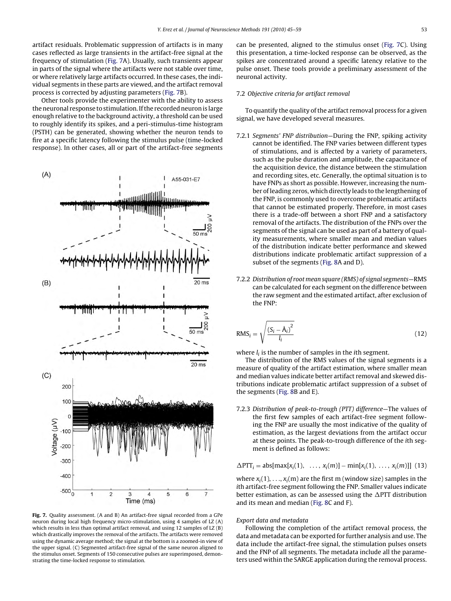artifact residuals. Problematic suppression of artifacts is in many cases reflected as large transients in the artifact-free signal at the frequency of stimulation (Fig. 7A). Usually, such transients appear in parts of the signal where the artifacts were not stable over time, or where relatively large artifacts occurred. In these cases, the individual segments in these parts are viewed, and the artifact removal process is corrected by adjusting parameters (Fig. 7B).

Other tools provide the experimenter with the ability to assess the neuronal response to stimulation. If the recorded neuron is large enough relative to the background activity, a threshold can be used to roughly identify its spikes, and a peri-stimulus-time histogram (PSTH) can be generated, showing whether the neuron tends to fire at a specific latency following the stimulus pulse (time-locked response). In other cases, all or part of the artifact-free segments



**Fig. 7.** Quality assessment. (A and B) An artifact-free signal recorded from a GPe neuron during local high frequency micro-stimulation, using 4 samples of LZ (A) which results in less than optimal artifact removal, and using 12 samples of LZ (B) which drastically improves the removal of the artifacts. The artifacts were removed using the dynamic average method; the signal at the bottom is a zoomed-in view of the upper signal. (C) Segmented artifact-free signal of the same neuron aligned to the stimulus onset. Segments of 150 consecutive pulses are superimposed, demonstrating the time-locked response to stimulation.

can be presented, aligned to the stimulus onset (Fig. 7C). Using this presentation, a time-locked response can be observed, as the spikes are concentrated around a specific latency relative to the pulse onset. These tools provide a preliminary assessment of the neuronal activity.

#### 7.2 Objective criteria for artifact removal

To quantify the quality of the artifact removal process for a given signal, we have developed several measures.

- 7.2.1 Segments' FNP distribution—During the FNP, spiking activity cannot be identified. The FNP varies between different types of stimulations, and is affected by a variety of parameters, such as the pulse duration and amplitude, the capacitance of the acquisition device, the distance between the stimulation and recording sites, etc. Generally, the optimal situation is to have FNPs as short as possible. However, increasing the number of leading zeros, which directly leads to the lengthening of the FNP, is commonly used to overcome problematic artifacts that cannot be estimated properly. Therefore, in most cases there is a trade-off between a short FNP and a satisfactory removal of the artifacts. The distribution of the FNPs over the segments of the signal can be used as part of a battery of quality measurements, where smaller mean and median values of the distribution indicate better performance and skewed distributions indicate problematic artifact suppression of a subset of the segments [\(Fig. 8A](#page-9-0) and D).
- 7.2.2 Distribution of root mean square (RMS) of signal segments—RMS can be calculated for each segment on the difference between the raw segment and the estimated artifact, after exclusion of the FNP:

$$
RMS_i = \sqrt{\frac{(S_i - \hat{A}_i)^2}{l_i}}
$$
\n(12)

where  $l_i$  is the number of samples in the *i*th segment.

The distribution of the RMS values of the signal segments is a measure of quality of the artifact estimation, where smaller mean and median values indicate better artifact removal and skewed distributions indicate problematic artifact suppression of a subset of the segments [\(Fig. 8B](#page-9-0) and E).

7.2.3 Distribution of peak-to-trough (PTT) difference—The values of the first few samples of each artifact-free segment following the FNP are usually the most indicative of the quality of estimation, as the largest deviations from the artifact occur at these points. The peak-to-trough difference of the ith segment is defined as follows:

$$
\Delta \text{PTT}_i = abs[\max[x_i(1), \ldots, x_i(m)] - \min[x_i(1), \ldots, x_i(m)]]
$$
 (13)

where  $x_i(1), \ldots, x_i(m)$  are the first m (window size) samples in the ith artifact-free segment following the FNP. Smaller values indicate better estimation, as can be assessed using the  $\triangle$ PTT distribution and its mean and median ([Fig. 8C](#page-9-0) and F).

#### Export data and metadata

Following the completion of the artifact removal process, the data and metadata can be exported for further analysis and use. The data include the artifact-free signal, the stimulation pulses onsets and the FNP of all segments. The metadata include all the parameters used within the SARGE application during the removal process.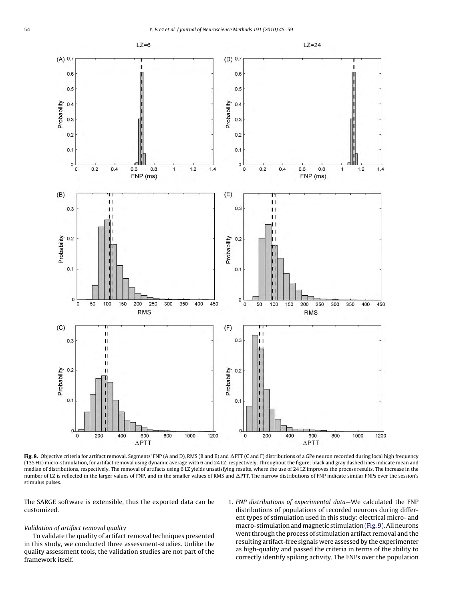<span id="page-9-0"></span>

Fig. 8. Objective criteria for artifact removal. Segments' FNP (A and D), RMS (B and E) and  $\Delta$ PTT (C and F) distributions of a GPe neuron recorded during local high frequency (135 Hz) micro-stimulation, for artifact removal using dynamic average with 6 and 24 LZ, respectively. Throughout the figure: black and gray dashed lines indicate mean and median of distributions, respectively. The removal of artifacts using 6 LZ yields unsatisfying results, where the use of 24 LZ improves the process results. The increase in the number of LZ is reflected in the larger values of FNP, and in the smaller values of RMS and  $\Delta$ PTT. The narrow distributions of FNP indicate similar FNPs over the session's stimulus pulses.

The SARGE software is extensible, thus the exported data can be customized.

# Validation of artifact removal quality

To validate the quality of artifact removal techniques presented in this study, we conducted three assessment-studies. Unlike the quality assessment tools, the validation studies are not part of the framework itself.

1. FNP distributions of experimental data—We calculated the FNP distributions of populations of recorded neurons during different types of stimulation used in this study: electrical micro- and macro-stimulation andmagnetic stimulation ([Fig. 9\).](#page-10-0) All neurons went through the process of stimulation artifact removal and the resulting artifact-free signals were assessed by the experimenter as high-quality and passed the criteria in terms of the ability to correctly identify spiking activity. The FNPs over the population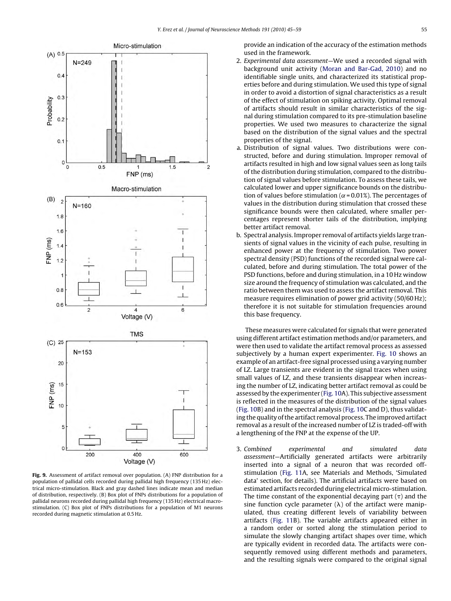<span id="page-10-0"></span>

**Fig. 9.** Assessment of artifact removal over population. (A) FNP distribution for a population of pallidal cells recorded during pallidal high frequency (135 Hz) electrical micro-stimulation. Black and gray dashed lines indicate mean and median of distribution, respectively. (B) Box plot of FNPs distributions for a population of pallidal neurons recorded during pallidal high frequency (135 Hz) electrical macrostimulation. (C) Box plot of FNPs distributions for a population of M1 neurons recorded during magnetic stimulation at 0.5 Hz.

provide an indication of the accuracy of the estimation methods used in the framework.

- 2. Experimental data assessment—We used a recorded signal with background unit activity [\(Moran and Bar-Gad, 2010\)](#page-14-0) and no identifiable single units, and characterized its statistical properties before and during stimulation. We used this type of signal in order to avoid a distortion of signal characteristics as a result of the effect of stimulation on spiking activity. Optimal removal of artifacts should result in similar characteristics of the signal during stimulation compared to its pre-stimulation baseline properties. We used two measures to characterize the signal based on the distribution of the signal values and the spectral properties of the signal.
- a. Distribution of signal values. Two distributions were constructed, before and during stimulation. Improper removal of artifacts resulted in high and low signal values seen as long tails of the distribution during stimulation, compared to the distribution of signal values before stimulation. To assess these tails, we calculated lower and upper significance bounds on the distribution of values before stimulation ( $\alpha$  = 0.01%). The percentages of values in the distribution during stimulation that crossed these significance bounds were then calculated, where smaller percentages represent shorter tails of the distribution, implying better artifact removal.
- b. Spectral analysis. Improper removal of artifacts yields large transients of signal values in the vicinity of each pulse, resulting in enhanced power at the frequency of stimulation. Two power spectral density (PSD) functions of the recorded signal were calculated, before and during stimulation. The total power of the PSD functions, before and during stimulation, in a 10 Hz window size around the frequency of stimulation was calculated, and the ratio between them was used to assess the artifact removal. This measure requires elimination of power grid activity (50/60 Hz); therefore it is not suitable for stimulation frequencies around this base frequency.

These measures were calculated for signals that were generated using different artifact estimation methods and/or parameters, and were then used to validate the artifact removal process as assessed subjectively by a human expert experimenter. [Fig. 10](#page-11-0) shows an example of an artifact-free signal processed using a varying number of LZ. Large transients are evident in the signal traces when using small values of LZ, and these transients disappear when increasing the number of LZ, indicating better artifact removal as could be assessed by the experimenter [\(Fig. 10A\)](#page-11-0). This subjective assessment is reflected in the measures of the distribution of the signal values [\(Fig. 10B\)](#page-11-0) and in the spectral analysis [\(Fig. 10C](#page-11-0) and D), thus validating the quality of the artifact removal process. The improved artifact removal as a result of the increased number of LZ is traded-off with a lengthening of the FNP at the expense of the UP.

3. Combined experimental and simulated data assessment—Artificially generated artifacts were arbitrarily inserted into a signal of a neuron that was recorded offstimulation [\(Fig. 11A](#page-12-0), see Materials and Methods, 'Simulated data' section, for details). The artificial artifacts were based on estimated artifacts recorded during electrical micro-stimulation. The time constant of the exponential decaying part  $(\tau)$  and the sine function cycle parameter  $(\lambda)$  of the artifact were manipulated, thus creating different levels of variability between artifacts ([Fig. 11B](#page-12-0)). The variable artifacts appeared either in a random order or sorted along the stimulation period to simulate the slowly changing artifact shapes over time, which are typically evident in recorded data. The artifacts were consequently removed using different methods and parameters, and the resulting signals were compared to the original signal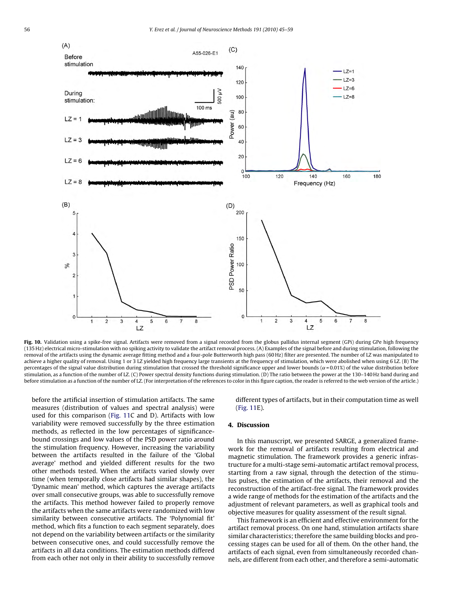<span id="page-11-0"></span>

Fig. 10. Validation using a spike-free signal. Artifacts were removed from a signal recorded from the globus pallidus internal segment (GPi) during GPe high frequency (135 Hz) electrical micro-stimulation with no spiking activity to validate the artifact removal process. (A) Examples of the signal before and during stimulation, following the removal of the artifacts using the dynamic average fitting method and a four-pole Butterworth high pass (60 Hz) filter are presented. The number of LZ was manipulated to achieve a higher quality of removal. Using 1 or 3 LZ yielded high frequency large transients at the frequency of stimulation, which were abolished when using 6 LZ. (B) The percentages of the signal value distribution during stimulation that crossed the threshold significance upper and lower bounds ( $\alpha$  = 0.01%) of the value distribution before stimulation, as a function of the number of LZ. (C) Power spectral density functions during stimulation. (D) The ratio between the power at the 130–140 Hz band during and before stimulation as a function of the number of LZ. (For interpretation of the references to color in this figure caption, the reader is referred to the web version of the article.)

before the artificial insertion of stimulation artifacts. The same measures (distribution of values and spectral analysis) were used for this comparison [\(Fig. 11C](#page-12-0) and D). Artifacts with low variability were removed successfully by the three estimation methods, as reflected in the low percentages of significancebound crossings and low values of the PSD power ratio around the stimulation frequency. However, increasing the variability between the artifacts resulted in the failure of the 'Global average' method and yielded different results for the two other methods tested. When the artifacts varied slowly over time (when temporally close artifacts had similar shapes), the 'Dynamic mean' method, which captures the average artifacts over small consecutive groups, was able to successfully remove the artifacts. This method however failed to properly remove the artifacts when the same artifacts were randomized with low similarity between consecutive artifacts. The 'Polynomial fit' method, which fits a function to each segment separately, does not depend on the variability between artifacts or the similarity between consecutive ones, and could successfully remove the artifacts in all data conditions. The estimation methods differed from each other not only in their ability to successfully remove

different types of artifacts, but in their computation time as well ([Fig. 11E\)](#page-12-0).

# **4. Discussion**

In this manuscript, we presented SARGE, a generalized framework for the removal of artifacts resulting from electrical and magnetic stimulation. The framework provides a generic infrastructure for a multi-stage semi-automatic artifact removal process, starting from a raw signal, through the detection of the stimulus pulses, the estimation of the artifacts, their removal and the reconstruction of the artifact-free signal. The framework provides a wide range of methods for the estimation of the artifacts and the adjustment of relevant parameters, as well as graphical tools and objective measures for quality assessment of the result signal.

This framework is an efficient and effective environment for the artifact removal process. On one hand, stimulation artifacts share similar characteristics; therefore the same building blocks and processing stages can be used for all of them. On the other hand, the artifacts of each signal, even from simultaneously recorded channels, are different from each other, and therefore a semi-automatic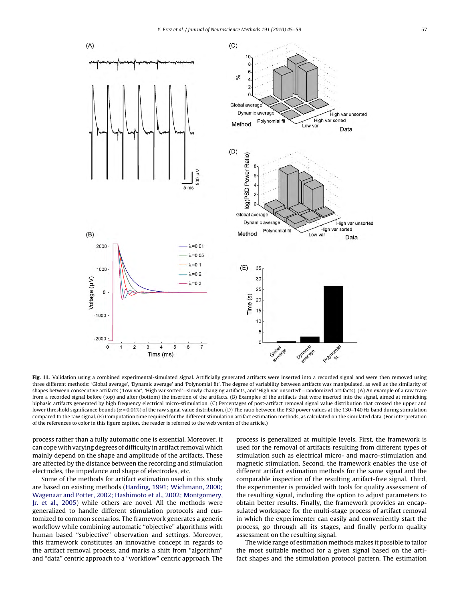<span id="page-12-0"></span>

Fig. 11. Validation using a combined experimental-simulated signal. Artificially generated artifacts were inserted into a recorded signal and were then removed using three different methods: 'Global average', 'Dynamic average' and 'Polynomial fit'. The degree of variability between artifacts was manipulated, as well as the similarity of shapes between consecutive artifacts ('Low var', 'High var sorted'—slowly changing artifacts, and 'High var unsorted'—randomized artifacts). (A) An example of a raw trace from a recorded signal before (top) and after (bottom) the insertion of the artifacts. (B) Examples of the artifacts that were inserted into the signal, aimed at mimicking biphasic artifacts generated by high frequency electrical micro-stimulation. (C) Percentages of post-artifact removal signal value distribution that crossed the upper and lower threshold significance bounds ( $\alpha$  = 0.01%) of the raw signal value distribution. (D) The ratio between the PSD power values at the 130-140 Hz band during stimulation compared to the raw signal. (E) Computation time required for the different stimulation artifact estimation methods, as calculated on the simulated data. (For interpretation of the references to color in this figure caption, the reader is referred to the web version of the article.)

process rather than a fully automatic one is essential. Moreover, it can cope with varying degrees of difficulty in artifact removal which mainly depend on the shape and amplitude of the artifacts. These are affected by the distance between the recording and stimulation electrodes, the impedance and shape of electrodes, etc.

Some of the methods for artifact estimation used in this study are based on existing methods ([Harding, 1991; Wichmann, 2000;](#page-13-0) [Wagenaar and Potter, 2002; Hashimoto et al., 2002; Montgomery,](#page-13-0) [Jr. et al., 2005\)](#page-13-0) while others are novel. All the methods were generalized to handle different stimulation protocols and customized to common scenarios. The framework generates a generic workflow while combining automatic "objective" algorithms with human based "subjective" observation and settings. Moreover, this framework constitutes an innovative concept in regards to the artifact removal process, and marks a shift from "algorithm" and "data" centric approach to a "workflow" centric approach. The

process is generalized at multiple levels. First, the framework is used for the removal of artifacts resulting from different types of stimulation such as electrical micro- and macro-stimulation and magnetic stimulation. Second, the framework enables the use of different artifact estimation methods for the same signal and the comparable inspection of the resulting artifact-free signal. Third, the experimenter is provided with tools for quality assessment of the resulting signal, including the option to adjust parameters to obtain better results. Finally, the framework provides an encapsulated workspace for the multi-stage process of artifact removal in which the experimenter can easily and conveniently start the process, go through all its stages, and finally perform quality assessment on the resulting signal.

The wide range of estimation methods makes it possible to tailor the most suitable method for a given signal based on the artifact shapes and the stimulation protocol pattern. The estimation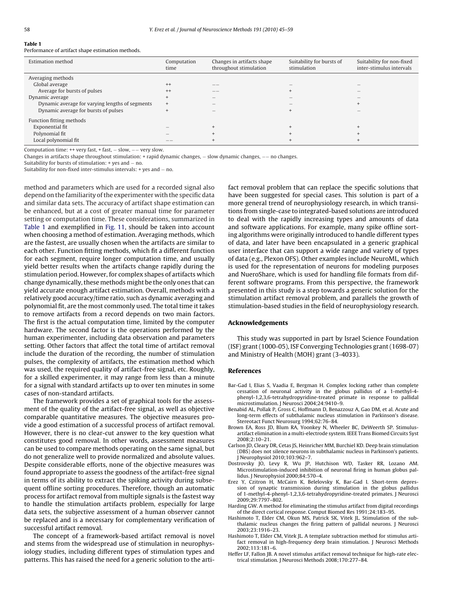# <span id="page-13-0"></span>**Table 1**

Performance of artifact shape estimation methods.

| Estimation method                               | Computation<br>time | Changes in artifacts shape<br>throughout stimulation | Suitability for bursts of<br>stimulation | Suitability for non-fixed<br>inter-stimulus intervals |
|-------------------------------------------------|---------------------|------------------------------------------------------|------------------------------------------|-------------------------------------------------------|
| Averaging methods                               |                     |                                                      |                                          |                                                       |
| Global average                                  | $++$                | --                                                   |                                          |                                                       |
| Average for bursts of pulses                    | $++$                | $- -$                                                |                                          |                                                       |
| Dynamic average                                 |                     |                                                      |                                          |                                                       |
| Dynamic average for varying lengths of segments | $\ddot{}$           |                                                      |                                          |                                                       |
| Dynamic average for bursts of pulses            |                     |                                                      |                                          |                                                       |
| Function fitting methods                        |                     |                                                      |                                          |                                                       |
| Exponential fit                                 |                     |                                                      |                                          |                                                       |
| Polynomial fit                                  |                     |                                                      |                                          |                                                       |
| Local polynomial fit                            | --                  |                                                      |                                          |                                                       |

Computation time: ++ very fast, + fast, − slow, −− very slow.

Changes in artifacts shape throughout stimulation: + rapid dynamic changes, − slow dynamic changes, −− no changes.

Suitability for bursts of stimulation:  $+$  yes and  $-$  no. Suitability for non-fixed inter-stimulus intervals: + yes and − no.

method and parameters which are used for a recorded signal also depend on the familiarity of the experimenter with the specific data and similar data sets. The accuracy of artifact shape estimation can be enhanced, but at a cost of greater manual time for parameter setting or computation time. These considerations, summarized in Table 1 and exemplified in [Fig. 11,](#page-12-0) should be taken into account when choosing a method of estimation. Averaging methods, which are the fastest, are usually chosen when the artifacts are similar to each other. Function fitting methods, which fit a different function for each segment, require longer computation time, and usually yield better results when the artifacts change rapidly during the stimulation period. However, for complex shapes of artifacts which change dynamically, these methods might be the only ones that can yield accurate enough artifact estimation. Overall, methods with a relatively good accuracy/time ratio, such as dynamic averaging and polynomial fit, are the most commonly used. The total time it takes to remove artifacts from a record depends on two main factors. The first is the actual computation time, limited by the computer hardware. The second factor is the operations performed by the human experimenter, including data observation and parameters setting. Other factors that affect the total time of artifact removal include the duration of the recording, the number of stimulation pulses, the complexity of artifacts, the estimation method which was used, the required quality of artifact-free signal, etc. Roughly, for a skilled experimenter, it may range from less than a minute for a signal with standard artifacts up to over ten minutes in some cases of non-standard artifacts.

The framework provides a set of graphical tools for the assessment of the quality of the artifact-free signal, as well as objective comparable quantitative measures. The objective measures provide a good estimation of a successful process of artifact removal. However, there is no clear-cut answer to the key question what constitutes good removal. In other words, assessment measures can be used to compare methods operating on the same signal, but do not generalize well to provide normalized and absolute values. Despite considerable efforts, none of the objective measures was found appropriate to assess the goodness of the artifact-free signal in terms of its ability to extract the spiking activity during subsequent offline sorting procedures. Therefore, though an automatic process for artifact removal from multiple signals is the fastest way to handle the stimulation artifacts problem, especially for large data sets, the subjective assessment of a human observer cannot be replaced and is a necessary for complementary verification of successful artifact removal.

The concept of a framework-based artifact removal is novel and stems from the widespread use of stimulation in neurophysiology studies, including different types of stimulation types and patterns. This has raised the need for a generic solution to the artifact removal problem that can replace the specific solutions that have been suggested for special cases. This solution is part of a more general trend of neurophysiology research, in which transitions from single-case to integrated-based solutions are introduced to deal with the rapidly increasing types and amounts of data and software applications. For example, many spike offline sorting algorithms were originally introduced to handle different types of data, and later have been encapsulated in a generic graphical user interface that can support a wide range and variety of types of data (e.g., Plexon OFS). Other examples include NeuroML, which is used for the representation of neurons for modeling purposes and NueroShare, which is used for handling file formats from different software programs. From this perspective, the framework presented in this study is a step towards a generic solution for the stimulation artifact removal problem, and parallels the growth of stimulation-based studies in the field of neurophysiology research.

#### **Acknowledgements**

This study was supported in part by Israel Science Foundation (ISF) grant (1000-05), ISF Converging Technologies grant (1698-07) and Ministry of Health (MOH) grant (3-4033).

#### **References**

- Bar-Gad I, Elias S, Vaadia E, Bergman H. Complex locking rather than complete cessation of neuronal activity in the globus pallidus of a 1-methyl-4 phenyl-1,2,3,6-tetrahydropyridine-treated primate in response to pallidal microstimulation. J Neurosci 2004;24:9410–9.
- Benabid AL, Pollak P, Gross C, Hoffmann D, Benazzouz A, Gao DM, et al. Acute and long-term effects of subthalamic nucleus stimulation in Parkinson's disease. Stereotact Funct Neurosurg 1994;62:76–84.
- Brown EA, Ross JD, Blum RA, Yoonkey N, Wheeler BC, DeWeerth SP. Stimulusartifact elimination in a multi-electrode system. IEEE Trans Biomed Circuits Syst 2008;2:10–21.
- Carlson JD, Cleary DR, Cetas JS, Heinricher MM, Burchiel KD. Deep brain stimulation (DBS) does not silence neurons in subthalamic nucleus in Parkinson's patients. J Neurophysiol 2010;103:962–7.
- Dostrovsky JO, Levy R, Wu JP, Hutchison WD, Tasker RR, Lozano AM. Microstimulation-induced inhibition of neuronal firing in human globus pallidus. J Neurophysiol 2000;84:570–4.
- Erez Y, Czitron H, McCairn K, Belelovsky K, Bar-Gad I. Short-term depression of synaptic transmission during stimulation in the globus pallidus of 1-methyl-4-phenyl-1,2,3,6-tetrahydropyridine-treated primates. J Neurosci 2009;29:7797–802.
- Harding GW. A method for eliminating the stimulus artifact from digital recordings of the direct cortical response. Comput Biomed Res 1991;24:183–95.
- Hashimoto T, Elder CM, Okun MS, Patrick SK, Vitek JL. Stimulation of the subthalamic nucleus changes the firing pattern of pallidal neurons. J Neurosci 2003;23:1916–23.
- Hashimoto T, Elder CM, Vitek JL. A template subtraction method for stimulus artifact removal in high-frequency deep brain stimulation. J Neurosci Methods 2002;113:181–6.
- Heffer LF, Fallon JB. A novel stimulus artifact removal technique for high-rate electrical stimulation. J Neurosci Methods 2008;170:277–84.